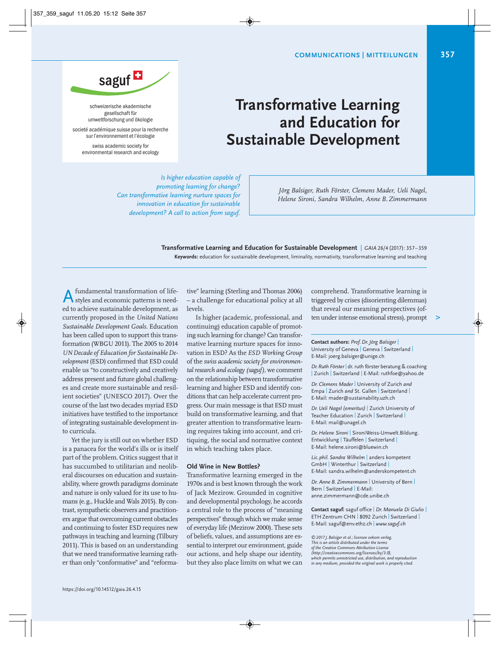

schweizerische akademische gesellschaft für umweltforschung und ökologie

societé académique suisse pour la recherche sur l'environnement et l'écologie

> swiss academic society for environmental research and ecology

## **Transformative Learning and Education for Sustainable Development**

*Is higher education capable of promoting learning for change? Can transformative learning nurture spaces for innovation in education for sustainable development? A call to action from saguf.*

*Jörg Balsiger, Ruth Förster, Clemens Mader, Ueli Nagel, Helene Sironi, Sandra Wilhelm, Anne B. Zimmermann*

**Transformative Learning and Education for Sustainable Development** | *GAIA* 26/4 (2017): 357– 359 **Keywords:** education for sustainable development, liminality, normativity, transformative learning and teaching

fundamental transformation of lifestyles and economic patterns is need-A fundamental transformation of life-<br>ed to achieve sustainable development, as currently proposed in the *United Nations Sustainable Development Goals.* Education has been called upon to support this transformation (WBGU 2011). The 2005 to 2014 *UNDecade of Education for SustainableDe vel opment* (ESD) confirmed that ESD could en able us "to constructively and creatively address present and future global challenges and create more sustainable and resilient societies" (UNESCO 2017). Over the course of the last two decades myriad ESD initiatives have testified to the importance of integrating sustainable development in to curricula.

Yet the jury is still out on whether ESD is a panacea for the world's ills or is itself part of the problem. Critics suggest that it has succumbed to utilitarian and neoliberal discourses on education and sustainability, where growth paradigms dominate and nature is only valued for its use to humans (e.g., Huckle and Wals 2015). By contrast, sympathetic observers and practitioners argue that overcoming current obstacles and continuing to foster ESD requires new pathways in teaching and learning (Tilbury 2011). This is based on an understanding that we need transformative learning rather than only "conformative" and "reformative" learning (Sterling and Thomas 2006) – a challenge for educational policy at all levels.

Is higher (academic, professional, and continuing) education capable of promoting such learning for change? Can transformative learning nurture spaces for innovation in ESD? As the *ESD Working Group* of the *swiss academic society for environmental research and ecology (saguf),* we comment on the relationship between transformative learning and higher ESD and identify conditions that can help accelerate current progress. Our main message is that ESD must build on transformative learning, and that greater attention to transformative learning requires taking into account, and critiquing, the social and normative context in which teaching takes place.

## **Old Wine in New Bottles?**

Transformative learning emerged in the 1970s and is best known through the work of Jack Mezirow. Grounded in cognitive and developmental psychology, he accords a central role to the process of "meaning perspectives" through which we make sense of everyday life (Mezirow 2000). These sets of beliefs, values, and assumptions are essential to interpret our environment, guide our actions, and help shape our identity, but they also place limits on what we can

comprehend. Transformative learning is triggered by crises (disorienting dilemmas) that reveal our meaning perspectives (often under intense emotional stress), prompt

**Contact authors:** *Prof. Dr. Jörg Balsiger* | University of Geneva | Geneva | Switzerland | E-Mail: joerg.balsiger@unige.ch

*Dr.Ruth Förster* | dr. ruth förster beratung & coaching | Zurich | Switzerland | E-Mail: ruthfoe@yahoo.de

*Dr. Clemens Mader* | University of Zurich *and* Empa | Zurich *and* St. Gallen | Switzerland | E-Mail: mader@sustainability.uzh.ch

*Dr. Ueli Nagel (emeritus)* | Zurich University of Teacher Education | Zurich | Switzerland | E-Mail: mail@unagel.ch

*Dr. Helene Sironi* | SironiWeiss-Umwelt.Bildung. Entwicklung | Täuffelen | Switzerland | E-Mail: helene.sironi@bluewin.ch

*Lic.phil. Sandra Wilhelm* | anders kompetent GmbH | Winterthur | Switzerland | E-Mail: sandra.wilhelm@anderskompetent.ch

*Dr. Anne B. Zimmermann* | University of Bern | Bern | Switzerland | E-Mail: anne.zimmermann@cde.unibe.ch

**Contact saguf:** saguf office | *Dr. Manuela Di Giulio* | ETH Zentrum CHN | 8092 Zurich | Switzerland | E-Mail: saguf@env.ethz.ch | *www.saguf.ch*

*©2017 J.Balsiger et al.; licensee oekom verlag. This is an article distributed under the terms of the Creative Commons Attribution License (http://creativecommons.org/licenses/by/3.0), which permits unrestricted use, distribution, and reproduction in any medium, provided the original work is properly cited.*

**>**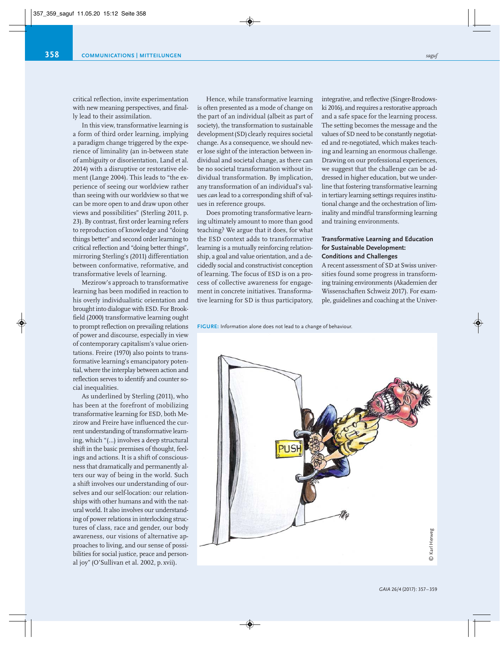critical reflection, invite experimentation with new meaning perspectives, and finally lead to their assimilation.

In this view, transformative learning is a form of third order learning, implying a paradigm change triggered by the experience of liminality (an in-between state of ambiguity or disorientation, Land et al. 2014) with a disruptive or restorative element (Lange 2004). This leads to "the experience of seeing our worldview rather than seeing with our worldview so that we can be more open to and draw upon other views and possibilities" (Sterling 2011, p. 23). By contrast, first order learning refers to reproduction of knowledge and "doing things better" and second order learning to critical reflection and "doing better things", mirroring Sterling's (2011) differentiation between conformative, reformative, and transformative levels of learning.

Mezirow's approach to transformative learning has been modified in reaction to his overly individualistic orientation and brought into dialogue with ESD. For Brookfield (2000) transformative learning ought to prompt reflection on prevailing relations of power and discourse, especially in view of contemporary capitalism's value orientations. Freire (1970) also points to transformative learning's emancipatory potential, where the interplay between action and reflection serves to identify and counter social inequalities.

As underlined by Sterling (2011), who has been at the forefront of mobilizing transformative learning for ESD, both Mezirow and Freire have influenced the current understanding of transformative learning, which "(…) involves a deep structural shift in the basic premises of thought, feelings and actions. It is a shift of consciousness that dramatically and permanently alters our way of being in the world. Such a shift involves our understanding of ourselves and our self-location: our relationships with other humans and with the natural world. It also involves our understanding of power relations in interlocking structures of class, race and gender, our body awareness, our visions of alternative approaches to living, and our sense of possi bilities for social justice, peace and personal joy" (O'Sullivan et al. 2002, p. xvii).

Hence, while transformative learning is often presented as a mode of change on the part of an individual (albeit as part of society), the transformation to sustainable development(SD) clearly requires societal change. As a consequence, we should never lose sight of the interaction between individual and societal change, as there can be no societal transformation without individual transformation. By implication, any transformation of an individual's values *can* lead to a corresponding shift of values in reference groups.

Does promoting transformative learning ultimately amount to more than good teaching? We argue that it does, for what the ESD context adds to transformative learning is a mutually reinforcing relationship, a goal and value orientation, and a decidedly social and constructivist conception of learning. The focus of ESD is on a process of collective awareness for engagement in concrete initiatives. Transformative learning for SD is thus participatory, integrative, and reflective (Singer-Brodowski 2016), and requires a restorative approach and a safe space for the learning process. The setting becomes the message and the values of SD need to be constantly negotiated and re-negotiated, which makes teaching and learning an enormous challenge. Drawing on our professional experiences, we suggest that the challenge can be addressed in higher education, but we underline that fostering transformative learning in tertiary learning settings requires institutional change and the orchestration of liminality and mindful transforming learning and training environments.

## **Transformative Learning and Education for Sustainable Development: Conditions and Challenges**

A recent assessment of SD at Swiss universities found some progress in transforming training environments (Akademien der Wissenschaften Schweiz 2017). For example, guidelines and coaching at the Univer-

**FIGURE:** Information alone does not lead to a change of behaviour.